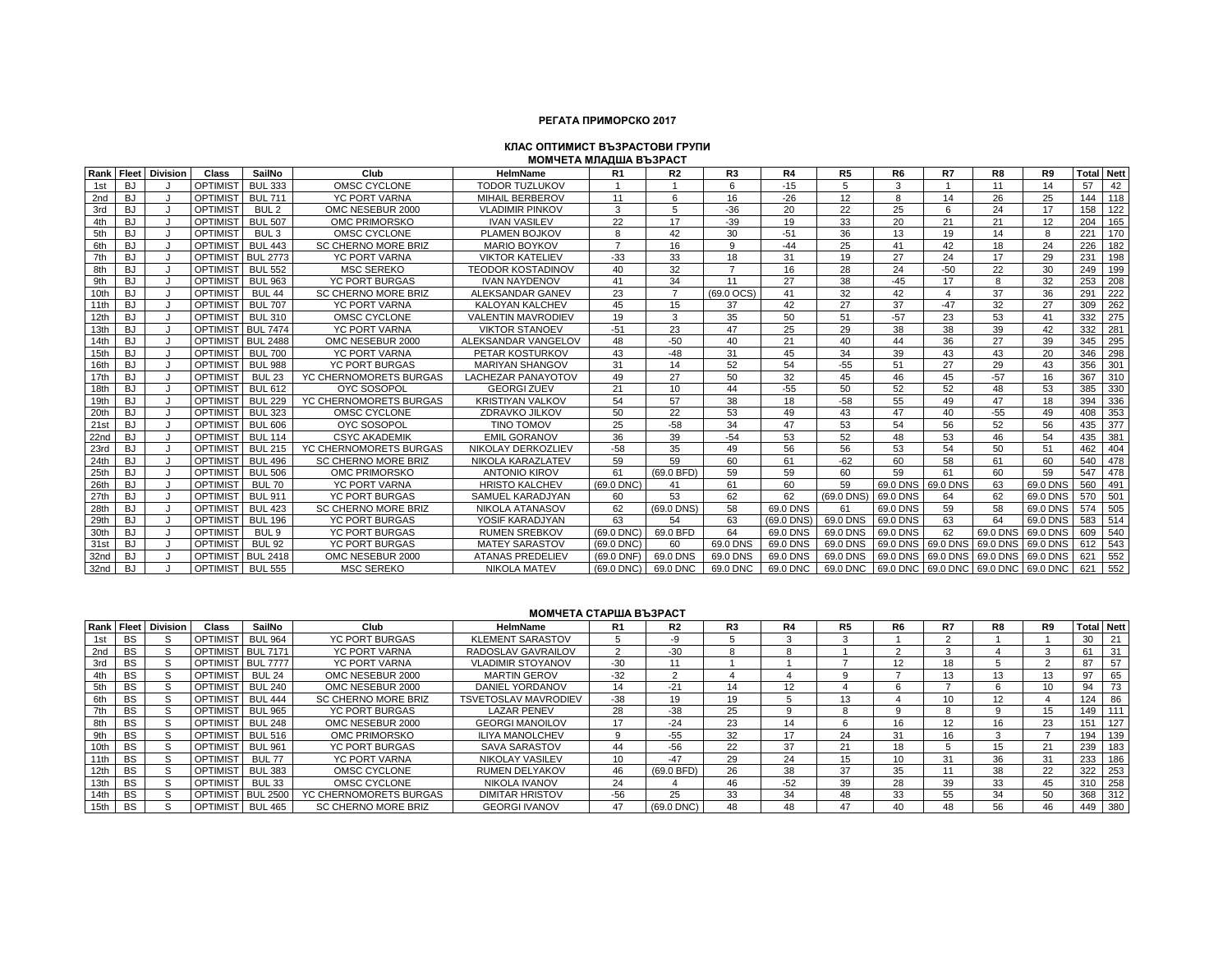## **РЕГАТА ПРИМОРСКО 2017**

#### **МОМЧЕТА МЛАДША ВЪЗРАСТ КЛАС ОПТИМИСТ ВЪЗРАСТОВИ ГРУПИ**

| Rank | Fleet     | <b>Division</b> | Class           | SailNo            | Club                       | <b>HelmName</b>           | R <sub>1</sub> | R <sub>2</sub> | R <sub>3</sub> | R4         | R <sub>5</sub> | R <sub>6</sub> | R7       | R8       | R9       | <b>Total Nett</b> |                  |
|------|-----------|-----------------|-----------------|-------------------|----------------------------|---------------------------|----------------|----------------|----------------|------------|----------------|----------------|----------|----------|----------|-------------------|------------------|
| 1st  | BJ        |                 | <b>OPTIMIST</b> | <b>BUL 333</b>    | OMSC CYCLONE               | <b>TODOR TUZLUKOV</b>     |                |                | 6              | $-15$      | 5              | 3              |          | 11       | 14       | 57                | 42               |
| 2nd  | BJ        |                 | <b>OPTIMIST</b> | <b>BUL 711</b>    | <b>YC PORT VARNA</b>       | <b>MIHAIL BERBEROV</b>    | 11             | 6              | 16             | $-26$      | 12             | 8              | 14       | 26       | 25       | 144               | 118              |
| 3rd  | BJ        |                 | <b>OPTIMIST</b> | BUL <sub>2</sub>  | OMC NESEBUR 2000           | <b>VLADIMIR PINKOV</b>    | 3              | 5              | $-36$          | 20         | 22             | 25             | 6        | 24       | 17       | 158               | 122              |
| 4th  | <b>BJ</b> |                 | <b>OPTIMIST</b> | <b>BUL 507</b>    | OMC PRIMORSKO              | <b>IVAN VASILEV</b>       | 22             | 17             | $-39$          | 19         | 33             | 20             | 21       | 21       | 12       | 204               | 165              |
| 5th  | <b>BJ</b> |                 | <b>OPTIMIST</b> | BUL <sub>3</sub>  | OMSC CYCLONE               | PLAMEN BOJKOV             | $\mathsf{R}$   | 42             | 30             | $-51$      | 36             | 13             | 19       | 14       | 8        | 221               | 170              |
| 6th  | BJ.       |                 | OPTIMIST        | <b>BUL 443</b>    | <b>SC CHERNO MORE BRIZ</b> | <b>MARIO BOYKOV</b>       | $\overline{7}$ | 16             | 9              | $-44$      | 25             | 41             | 42       | 18       | 24       | 226               | 182              |
| 7th  | <b>BJ</b> |                 | <b>OPTIMIST</b> | <b>BUL 2773</b>   | <b>YC PORT VARNA</b>       | <b>VIKTOR KATELIEV</b>    | $-33$          | 33             | 18             | 31         | 19             | 27             | 24       | 17       | 29       | 231               | 198              |
| 8th  | <b>BJ</b> |                 | <b>OPTIMIST</b> | <b>BUL 552</b>    | <b>MSC SEREKO</b>          | <b>TEODOR KOSTADINOV</b>  | 40             | 32             | $\overline{7}$ | 16         | 28             | 24             | $-50$    | 22       | 30       | 249               | 199              |
| 9th  | BJ        |                 | <b>OPTIMIST</b> | <b>BUL 963</b>    | <b>YC PORT BURGAS</b>      | <b>IVAN NAYDENOV</b>      | 41             | 34             | 11             | 27         | 38             | $-45$          | 17       | 8        | 32       | 253               | 208              |
| 10th | <b>BJ</b> |                 | <b>OPTIMIST</b> | BUL <sub>44</sub> | <b>SC CHERNO MORE BRIZ</b> | ALEKSANDAR GANEV          | 23             | $\overline{7}$ | (69.0 OCS)     | 41         | 32             | 42             | $\Delta$ | 37       | 36       | 291               | 222              |
| 11th | <b>BJ</b> |                 | <b>OPTIMIST</b> | <b>BUL 707</b>    | <b>YC PORT VARNA</b>       | <b>KALOYAN KALCHEV</b>    | 45             | 15             | 37             | 42         | 27             | 37             | $-47$    | 32       | 27       | 309               | 262              |
| 12th | <b>BJ</b> |                 | OPTIMIST        | <b>BUL 310</b>    | OMSC CYCLONE               | <b>VALENTIN MAVRODIEV</b> | 19             | 3              | 35             | 50         | 51             | $-57$          | 23       | 53       | 41       | 332               | 275              |
| 13th | <b>BJ</b> |                 | <b>OPTIMIST</b> | <b>BUL 7474</b>   | <b>YC PORT VARNA</b>       | <b>VIKTOR STANOEV</b>     | $-51$          | 23             | 47             | 25         | 29             | 38             | 38       | 39       | 42       | 332               | 281              |
| 14th | <b>BJ</b> |                 | <b>OPTIMIST</b> | <b>BUL 2488</b>   | OMC NESEBUR 2000           | ALEKSANDAR VANGELOV       | 48             | $-50$          | 40             | 21         | 40             | 44             | 36       | 27       | 39       | 345               | 295              |
| 15th | <b>BJ</b> |                 | <b>OPTIMIST</b> | <b>BUL 700</b>    | <b>YC PORT VARNA</b>       | PETAR KOSTURKOV           | 43             | $-48$          | 31             | 45         | 34             | 39             | 43       | 43       | 20       | 346               | 298              |
| 16th | BJ        |                 | <b>OPTIMIST</b> | <b>BUL 988</b>    | <b>YC PORT BURGAS</b>      | <b>MARIYAN SHANGOV</b>    | 31             | 14             | 52             | 54         | $-55$          | 51             | 27       | 29       | 43       | 356               | 301              |
| 17th | <b>BJ</b> |                 | <b>OPTIMIST</b> | <b>BUL 23</b>     | YC CHERNOMORETS BURGAS     | <b>LACHEZAR PANAYOTOV</b> | 49             | 27             | 50             | 32         | 45             | 46             | 45       | $-57$    | 16       | 367               | 310              |
| 18th | <b>BJ</b> |                 | OPTIMIST        | <b>BUL 612</b>    | OYC SOSOPOL                | <b>GEORGI ZUEV</b>        | 21             | 10             | 44             | $-55$      | 50             | 52             | 52       | 48       | 53       | 385               | 330              |
| 19th | <b>BJ</b> |                 | <b>OPTIMIST</b> | <b>BUL 229</b>    | YC CHERNOMORETS BURGAS     | <b>KRISTIYAN VALKOV</b>   | 54             | 57             | 38             | 18         | $-58$          | 55             | 49       | 47       | 18       | 394               | 336              |
| 20th | <b>BJ</b> |                 | <b>OPTIMIST</b> | <b>BUL 323</b>    | OMSC CYCLONE               | ZDRAVKO JILKOV            | 50             | 22             | 53             | 49         | 43             | 47             | 40       | $-55$    | 49       | 408               | 353              |
| 21st | <b>BJ</b> |                 | <b>OPTIMIST</b> | <b>BUL 606</b>    | <b>OYC SOSOPOI</b>         | <b>TINO TOMOV</b>         | 25             | $-58$          | 34             | 47         | 53             | 54             | 56       | 52       | 56       | 435               | $\overline{377}$ |
| 22nd | BJ        |                 | <b>OPTIMIST</b> | <b>BUL 114</b>    | <b>CSYC AKADEMIK</b>       | <b>EMIL GORANOV</b>       | 36             | 39             | $-54$          | 53         | 52             | 48             | 53       | 46       | 54       | 435               | 381              |
| 23rd | BJ.       |                 | OPTIMIST        | <b>BUL 215</b>    | YC CHERNOMORETS BURGAS     | NIKOLAY DERKOZLIEV        | $-58$          | 35             | 49             | 56         | 56             | 53             | 54       | 50       | 51       | 462               | 404              |
| 24th | <b>BJ</b> |                 | <b>OPTIMIST</b> | <b>BUL 496</b>    | <b>SC CHERNO MORE BRIZ</b> | NIKOLA KARAZLATEV         | 59             | 59             | 60             | 61         | $-62$          | 60             | 58       | 61       | 60       | 540               | 478              |
| 25th | <b>BJ</b> |                 | <b>OPTIMIST</b> | <b>BUL 506</b>    | OMC PRIMORSKO              | <b>ANTONIO KIROV</b>      | 61             | (69.0 BFD)     | 59             | 59         | 60             | 59             | 61       | 60       | 59       | 547               | 478              |
| 26th | <b>BJ</b> |                 | <b>OPTIMIST</b> | <b>BUL 70</b>     | <b>YC PORT VARNA</b>       | <b>HRISTO KALCHEV</b>     | $(69.0$ DNC)   | 41             | 61             | 60         | 59             | 69.0 DNS       | 69.0 DNS | 63       | 69.0 DNS | 560               | 491              |
| 27th | BJ        |                 | <b>OPTIMIST</b> | <b>BUL 911</b>    | YC PORT BURGAS             | SAMUEL KARADJYAN          | 60             | 53             | 62             | 62         | (69.0 DNS)     | 69.0 DNS       | 64       | 62       | 69.0 DNS | 570               | 1501             |
| 28th | <b>BJ</b> |                 | <b>OPTIMIST</b> | <b>BUL 423</b>    | <b>SC CHERNO MORE BRIZ</b> | <b>NIKOLA ATANASOV</b>    | 62             | (69.0 DNS)     | 58             | 69.0 DNS   | 61             | 69.0 DNS       | 59       | 58       | 69.0 DNS | 574               | 505              |
| 29th | <b>BJ</b> |                 | <b>OPTIMIST</b> | <b>BUL 196</b>    | <b>YC PORT BURGAS</b>      | YOSIF KARADJYAN           | 63             | 54             | 63             | (69.0 DNS) | 69.0 DNS       | 69.0 DNS       | 63       | 64       | 69.0 DNS | 583               | 514              |
| 30th | <b>BJ</b> |                 | <b>OPTIMIST</b> | BUL <sub>9</sub>  | <b>YC PORT BURGAS</b>      | <b>RUMEN SREBKOV</b>      | (69.0 DNC)     | 69.0 BFD       | 64             | 69.0 DNS   | 69.0 DNS       | 69.0 DNS       | 62       | 69.0 DNS | 69.0 DNS | 609               | 540              |
| 31st | <b>BJ</b> |                 | <b>OPTIMIST</b> | <b>BUL 92</b>     | <b>YC PORT BURGAS</b>      | <b>MATEY SARASTOV</b>     | $(69.0$ DNC)   | 60             | 69.0 DNS       | 69.0 DNS   | 69.0 DNS       | 69.0 DNS       | 69.0 DNS | 69.0 DNS | 69.0 DNS | 612               | 543              |
| 32nd | BJ        |                 | <b>OPTIMIST</b> | <b>BUL 2418</b>   | OMC NESEBUR 2000           | <b>ATANAS PREDELIEV</b>   | $(69.0$ DNF)   | 69.0 DNS       | 69.0 DNS       | 69.0 DNS   | 69.0 DNS       | 69.0 DNS       | 69.0 DNS | 69.0 DNS | 69.0 DNS | 621               | 552              |
| 32nd | <b>BJ</b> |                 | <b>OPTIMIST</b> | <b>BUL 555</b>    | <b>MSC SEREKO</b>          | <b>NIKOLA MATEV</b>       | (69.0 DNC)     | 69.0 DNC       | 69.0 DNC       | 69.0 DNC   | 69.0 DNC       | 69.0 DNC       | 69.0 DNC | 69.0 DNC | 69.0 DNC | 621               | 552              |

#### **МОМЧЕТА СТАРША ВЪЗРАСТ**

|                  |           | Rank Fleet Division | Class             | SailNo            | Club                       | HelmName                    | R1              | R <sub>2</sub> | R <sub>3</sub> | R4    | R <sub>5</sub> | R <sub>6</sub>  | R7 | R8 | R9 | <b>Total Nett</b> |     |
|------------------|-----------|---------------------|-------------------|-------------------|----------------------------|-----------------------------|-----------------|----------------|----------------|-------|----------------|-----------------|----|----|----|-------------------|-----|
|                  | <b>BS</b> |                     | <b>OPTIMIST</b>   | <b>BUL 964</b>    | <b>YC PORT BURGAS</b>      | <b>KLEMENT SARASTOV</b>     |                 | -9             |                |       |                |                 |    |    |    | 30                | 21  |
| 2nd              | <b>BS</b> |                     | OPTIMIST BUL 7171 |                   | <b>YC PORT VARNA</b>       | RADOSLAV GAVRAILOV          |                 | $-30$          |                |       |                |                 |    |    |    | 61                | 31  |
| 3rd              | <b>BS</b> |                     |                   | OPTIMIST BUL 7777 | <b>YC PORT VARNA</b>       | <b>VLADIMIR STOYANOV</b>    | $-30$           | 11             |                |       |                | 12              | 18 |    |    | 87                | 57  |
|                  | <b>BS</b> |                     | <b>OPTIMIST</b>   | <b>BUL 24</b>     | OMC NESEBUR 2000           | <b>MARTIN GEROV</b>         | $-32$           | $\Omega$       |                |       |                |                 |    |    | 13 | 97                | 65  |
| 5th              | <b>BS</b> |                     | <b>OPTIMIST</b>   | <b>BUL 240</b>    | OMC NESEBUR 2000           | DANIEL YORDANOV             | 14              | $-21$          | 14             | 12    |                |                 |    |    | 10 | 94                | 73  |
|                  | <b>BS</b> |                     | <b>OPTIMIST</b>   | <b>BUL 444</b>    | <b>SC CHERNO MORE BRIZ</b> | <b>TSVETOSLAV MAVRODIEV</b> | $-38$           | 19             | 19             |       | 13             |                 | 10 | 12 |    | 124               | 86  |
|                  | <b>BS</b> |                     | <b>OPTIMIST</b>   | <b>BUL 965</b>    | YC PORT BURGAS             | <b>LAZAR PENEV</b>          | 28              | $-38$          | 25             |       |                |                 |    |    | 15 | 149               | 111 |
| 8th              | <b>BS</b> |                     | <b>OPTIMIST</b>   | <b>BUL 248</b>    | OMC NESEBUR 2000           | <b>GEORGI MANOILOV</b>      | 17              | $-24$          | 23             | 14    |                | 16              | 12 | 16 | 23 | 151               | 127 |
|                  | <b>BS</b> |                     | <b>OPTIMIST</b>   | <b>BUL 516</b>    | OMC PRIMORSKO              | <b>ILIYA MANOLCHEV</b>      | <sub>9</sub>    | $-55$          | 32             | 17    | 24             | 31              | 16 |    |    | 194               | 139 |
| 10th             | <b>BS</b> |                     | <b>OPTIMIST</b>   | <b>BUL 961</b>    | YC PORT BURGAS             | <b>SAVA SARASTOV</b>        | 44              | $-56$          | 22             | 37    | 21             | 18              |    | 15 |    | 239               | 183 |
| 11th             | <b>BS</b> |                     | <b>OPTIMIST</b>   | <b>BUL 77</b>     | <b>YC PORT VARNA</b>       | <b>NIKOLAY VASILEV</b>      | 10 <sup>1</sup> | $-47$          | 29             | 24    | 15             | 10 <sup>1</sup> | 31 | 36 | 31 | 233               | 186 |
| 12 <sub>th</sub> | <b>BS</b> |                     | <b>OPTIMIST</b>   | <b>BUL 383</b>    | OMSC CYCLONE               | <b>RUMEN DELYAKOV</b>       | 46              | (69.0 BFD)     | 26             | 38    | 37             | 35              |    | 38 | 22 | 322               | 253 |
| 13th             | <b>BS</b> |                     | <b>OPTIMIST</b>   | <b>BUL 33</b>     | OMSC CYCLONE               | NIKOLA IVANOV               | 24              |                | 46             | $-52$ | 39             | 28              | 39 | 33 | 45 | 310               | 258 |
| 14th             | <b>BS</b> |                     |                   | OPTIMIST BUL 2500 | YC CHERNOMORETS BURGAS     | <b>DIMITAR HRISTOV</b>      | $-56$           | 25             | 33             | 34    | 48             | 33              | 55 | 34 | 50 | 368               | 312 |
| 15th             | BS        |                     | <b>OPTIMIST</b>   | <b>BUL 465</b>    | SC CHERNO MORE BRIZ        | <b>GEORGI IVANOV</b>        | 47              | (69.0 DNC)     | 48             | 48    | 47             | 40              | 48 | 56 |    | 449               | 380 |